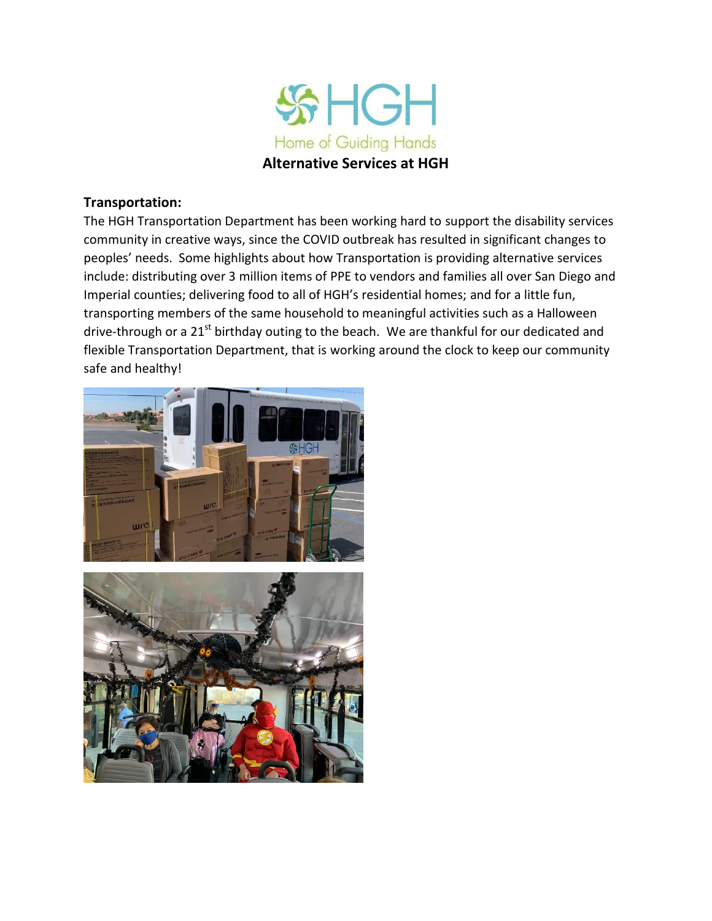

## **Transportation:**

The HGH Transportation Department has been working hard to support the disability services community in creative ways, since the COVID outbreak has resulted in significant changes to peoples' needs. Some highlights about how Transportation is providing alternative services include: distributing over 3 million items of PPE to vendors and families all over San Diego and Imperial counties; delivering food to all of HGH's residential homes; and for a little fun, transporting members of the same household to meaningful activities such as a Halloween drive-through or a 21<sup>st</sup> birthday outing to the beach. We are thankful for our dedicated and flexible Transportation Department, that is working around the clock to keep our community safe and healthy!